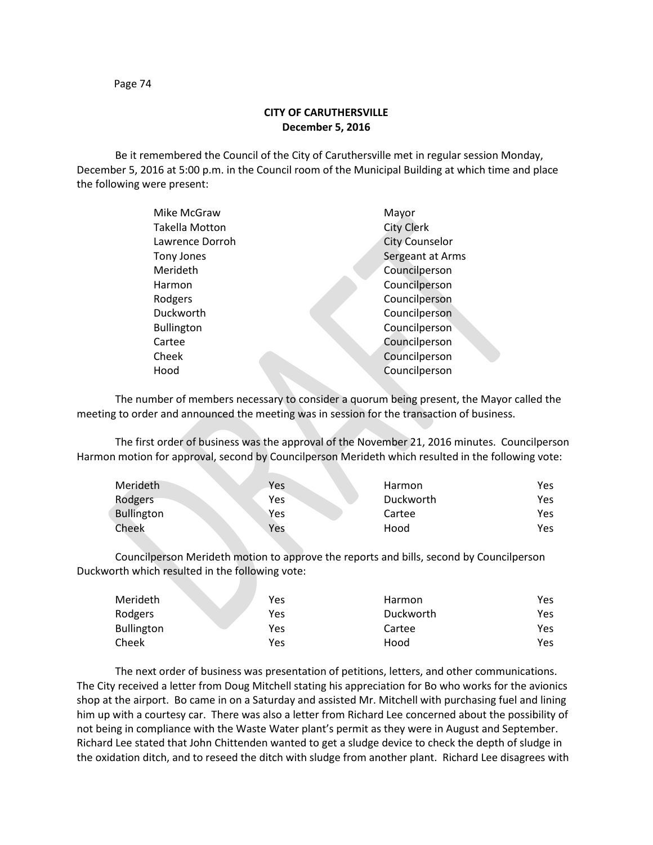Page 74

## **CITY OF CARUTHERSVILLE December 5, 2016**

Be it remembered the Council of the City of Caruthersville met in regular session Monday, December 5, 2016 at 5:00 p.m. in the Council room of the Municipal Building at which time and place the following were present:

| Mike McGraw           | Mayor                 |
|-----------------------|-----------------------|
| <b>Takella Motton</b> | <b>City Clerk</b>     |
| Lawrence Dorroh       | <b>City Counselor</b> |
| Tony Jones            | Sergeant at Arms      |
| Merideth              | Councilperson         |
| Harmon                | Councilperson         |
| Rodgers               | Councilperson         |
| Duckworth             | Councilperson         |
| <b>Bullington</b>     | Councilperson         |
| Cartee                | Councilperson         |
| Cheek                 | Councilperson         |
| Hood                  | Councilperson         |
|                       |                       |

The number of members necessary to consider a quorum being present, the Mayor called the meeting to order and announced the meeting was in session for the transaction of business.

The first order of business was the approval of the November 21, 2016 minutes. Councilperson Harmon motion for approval, second by Councilperson Merideth which resulted in the following vote:

| Merideth          | Yes | Harmon    | Yes  |
|-------------------|-----|-----------|------|
| Rodgers           | Yes | Duckworth | Yes  |
| <b>Bullington</b> | Yes | Cartee    | Yes. |
| Cheek             | Yes | Hood      | Yes  |

Councilperson Merideth motion to approve the reports and bills, second by Councilperson Duckworth which resulted in the following vote:

| Merideth          | Yes | <b>Harmon</b> | Yes  |
|-------------------|-----|---------------|------|
| Rodgers           | Yes | Duckworth     | Yes  |
| <b>Bullington</b> | Yes | Cartee        | Yes. |
| Cheek             | Yes | Hood          | Yes  |

The next order of business was presentation of petitions, letters, and other communications. The City received a letter from Doug Mitchell stating his appreciation for Bo who works for the avionics shop at the airport. Bo came in on a Saturday and assisted Mr. Mitchell with purchasing fuel and lining him up with a courtesy car. There was also a letter from Richard Lee concerned about the possibility of not being in compliance with the Waste Water plant's permit as they were in August and September. Richard Lee stated that John Chittenden wanted to get a sludge device to check the depth of sludge in the oxidation ditch, and to reseed the ditch with sludge from another plant. Richard Lee disagrees with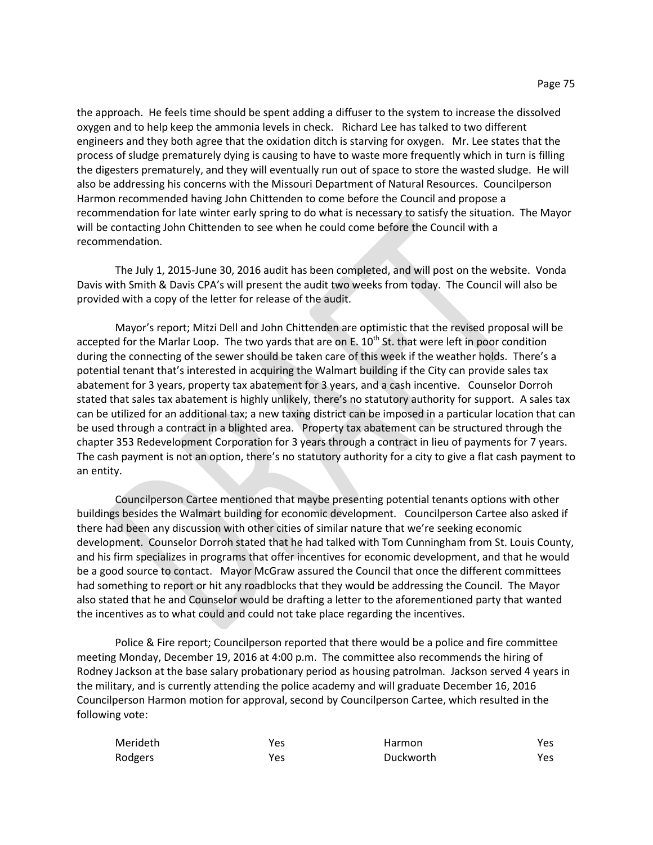the approach. He feels time should be spent adding a diffuser to the system to increase the dissolved oxygen and to help keep the ammonia levels in check. Richard Lee has talked to two different engineers and they both agree that the oxidation ditch is starving for oxygen. Mr. Lee states that the process of sludge prematurely dying is causing to have to waste more frequently which in turn is filling the digesters prematurely, and they will eventually run out of space to store the wasted sludge. He will also be addressing his concerns with the Missouri Department of Natural Resources. Councilperson Harmon recommended having John Chittenden to come before the Council and propose a recommendation for late winter early spring to do what is necessary to satisfy the situation. The Mayor will be contacting John Chittenden to see when he could come before the Council with a recommendation.

The July 1, 2015-June 30, 2016 audit has been completed, and will post on the website. Vonda Davis with Smith & Davis CPA's will present the audit two weeks from today. The Council will also be provided with a copy of the letter for release of the audit.

Mayor's report; Mitzi Dell and John Chittenden are optimistic that the revised proposal will be accepted for the Marlar Loop. The two yards that are on E.  $10^{th}$  St. that were left in poor condition during the connecting of the sewer should be taken care of this week if the weather holds. There's a potential tenant that's interested in acquiring the Walmart building if the City can provide sales tax abatement for 3 years, property tax abatement for 3 years, and a cash incentive. Counselor Dorroh stated that sales tax abatement is highly unlikely, there's no statutory authority for support. A sales tax can be utilized for an additional tax; a new taxing district can be imposed in a particular location that can be used through a contract in a blighted area. Property tax abatement can be structured through the chapter 353 Redevelopment Corporation for 3 years through a contract in lieu of payments for 7 years. The cash payment is not an option, there's no statutory authority for a city to give a flat cash payment to an entity.

Councilperson Cartee mentioned that maybe presenting potential tenants options with other buildings besides the Walmart building for economic development. Councilperson Cartee also asked if there had been any discussion with other cities of similar nature that we're seeking economic development. Counselor Dorroh stated that he had talked with Tom Cunningham from St. Louis County, and his firm specializes in programs that offer incentives for economic development, and that he would be a good source to contact. Mayor McGraw assured the Council that once the different committees had something to report or hit any roadblocks that they would be addressing the Council. The Mayor also stated that he and Counselor would be drafting a letter to the aforementioned party that wanted the incentives as to what could and could not take place regarding the incentives.

Police & Fire report; Councilperson reported that there would be a police and fire committee meeting Monday, December 19, 2016 at 4:00 p.m. The committee also recommends the hiring of Rodney Jackson at the base salary probationary period as housing patrolman. Jackson served 4 years in the military, and is currently attending the police academy and will graduate December 16, 2016 Councilperson Harmon motion for approval, second by Councilperson Cartee, which resulted in the following vote:

| Merideth | Yes | Harmon    | Yes. |
|----------|-----|-----------|------|
| Rodgers  | Yes | Duckworth | Yes  |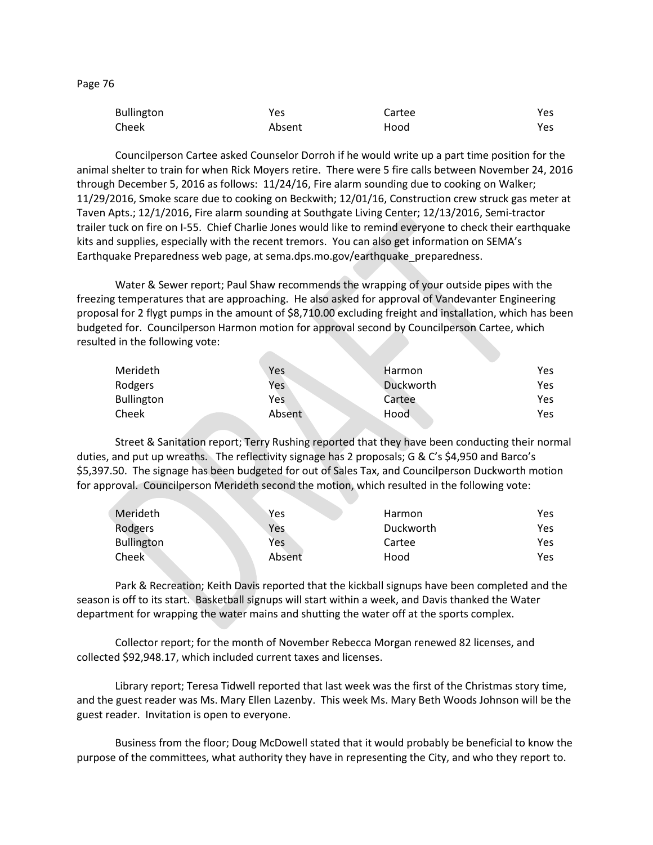Page 76

| Bullington | Yes    | Cartee | Yes. |
|------------|--------|--------|------|
| Cheek      | Absent | Hood   | Yes  |

Councilperson Cartee asked Counselor Dorroh if he would write up a part time position for the animal shelter to train for when Rick Moyers retire. There were 5 fire calls between November 24, 2016 through December 5, 2016 as follows: 11/24/16, Fire alarm sounding due to cooking on Walker; 11/29/2016, Smoke scare due to cooking on Beckwith; 12/01/16, Construction crew struck gas meter at Taven Apts.; 12/1/2016, Fire alarm sounding at Southgate Living Center; 12/13/2016, Semi-tractor trailer tuck on fire on I-55. Chief Charlie Jones would like to remind everyone to check their earthquake kits and supplies, especially with the recent tremors. You can also get information on SEMA's Earthquake Preparedness web page, at sema.dps.mo.gov/earthquake\_preparedness.

Water & Sewer report; Paul Shaw recommends the wrapping of your outside pipes with the freezing temperatures that are approaching. He also asked for approval of Vandevanter Engineering proposal for 2 flygt pumps in the amount of \$8,710.00 excluding freight and installation, which has been budgeted for. Councilperson Harmon motion for approval second by Councilperson Cartee, which resulted in the following vote:

**Contract** 

| Merideth          | Yes    | Harmon    | Yes |
|-------------------|--------|-----------|-----|
| Rodgers           | Yes    | Duckworth | Yes |
| <b>Bullington</b> | Yes    | Cartee    | Yes |
| Cheek             | Absent | Hood      | Yes |

Street & Sanitation report; Terry Rushing reported that they have been conducting their normal duties, and put up wreaths. The reflectivity signage has 2 proposals; G & C's \$4,950 and Barco's \$5,397.50. The signage has been budgeted for out of Sales Tax, and Councilperson Duckworth motion for approval. Councilperson Merideth second the motion, which resulted in the following vote:

| Merideth          | Yes        | Harmon    | Yes |
|-------------------|------------|-----------|-----|
| Rodgers           | Yes        | Duckworth | Yes |
| <b>Bullington</b> | <b>Yes</b> | Cartee    | Yes |
| <b>Cheek</b>      | Absent     | Hood      | Yes |

Park & Recreation; Keith Davis reported that the kickball signups have been completed and the season is off to its start. Basketball signups will start within a week, and Davis thanked the Water department for wrapping the water mains and shutting the water off at the sports complex.

Collector report; for the month of November Rebecca Morgan renewed 82 licenses, and collected \$92,948.17, which included current taxes and licenses.

Library report; Teresa Tidwell reported that last week was the first of the Christmas story time, and the guest reader was Ms. Mary Ellen Lazenby. This week Ms. Mary Beth Woods Johnson will be the guest reader. Invitation is open to everyone.

Business from the floor; Doug McDowell stated that it would probably be beneficial to know the purpose of the committees, what authority they have in representing the City, and who they report to.